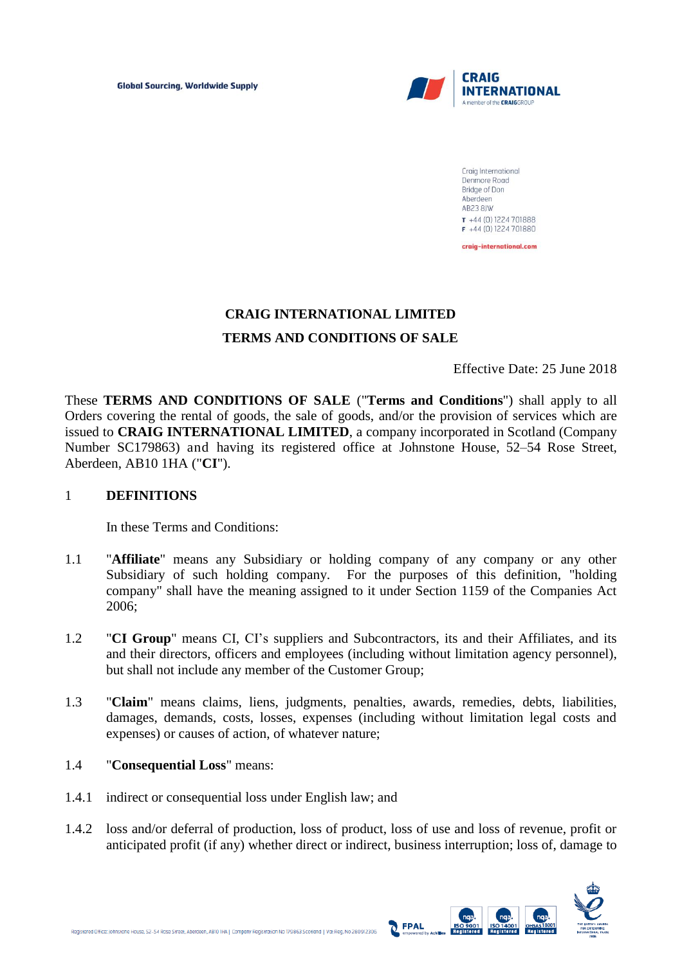

Craig International Denmore Road Bridge of Don Aberdeen **AB23 8JW**  $T +44(0)1224701888$  $F +44(0)1224701880$ craig-international.com

# **CRAIG INTERNATIONAL LIMITED TERMS AND CONDITIONS OF SALE**

Effective Date: 25 June 2018

These **TERMS AND CONDITIONS OF SALE** ("**Terms and Conditions**") shall apply to all Orders covering the rental of goods, the sale of goods, and/or the provision of services which are issued to **CRAIG INTERNATIONAL LIMITED**, a company incorporated in Scotland (Company Number SC179863) and having its registered office at Johnstone House, 52–54 Rose Street, Aberdeen, AB10 1HA ("**CI**").

#### 1 **DEFINITIONS**

In these Terms and Conditions:

- 1.1 "**Affiliate**" means any Subsidiary or holding company of any company or any other Subsidiary of such holding company. For the purposes of this definition, "holding company" shall have the meaning assigned to it under Section 1159 of the Companies Act 2006;
- 1.2 "**CI Group**" means CI, CI's suppliers and Subcontractors, its and their Affiliates, and its and their directors, officers and employees (including without limitation agency personnel), but shall not include any member of the Customer Group;
- 1.3 "**Claim**" means claims, liens, judgments, penalties, awards, remedies, debts, liabilities, damages, demands, costs, losses, expenses (including without limitation legal costs and expenses) or causes of action, of whatever nature;

#### 1.4 "**Consequential Loss**" means:

- 1.4.1 indirect or consequential loss under English law; and
- 1.4.2 loss and/or deferral of production, loss of product, loss of use and loss of revenue, profit or anticipated profit (if any) whether direct or indirect, business interruption; loss of, damage to

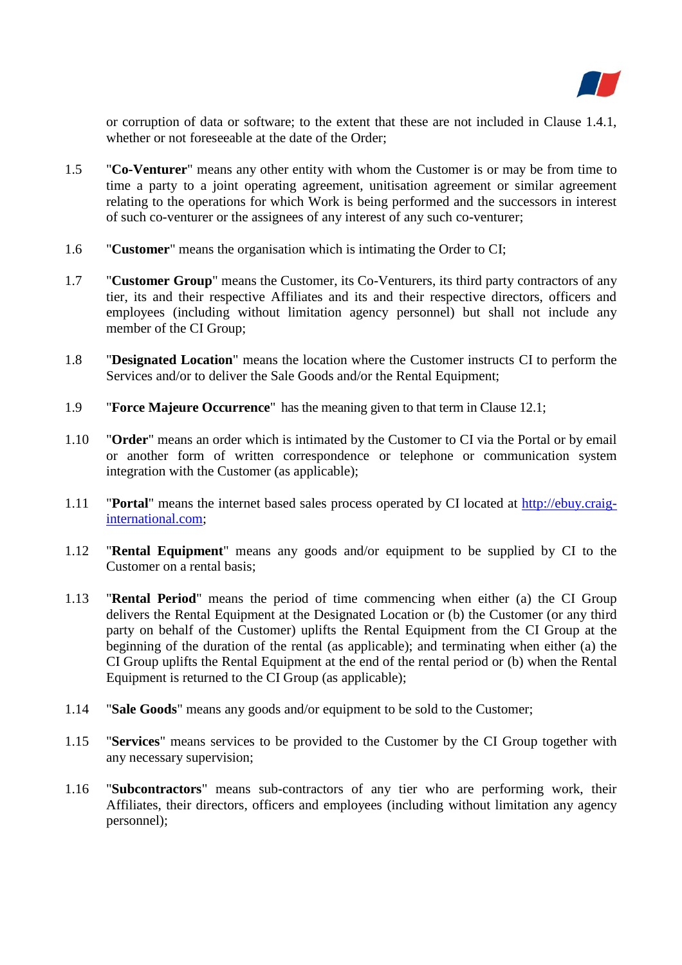

or corruption of data or software; to the extent that these are not included in Clause 1.4.1, whether or not foreseeable at the date of the Order;

- 1.5 "**Co-Venturer**" means any other entity with whom the Customer is or may be from time to time a party to a joint operating agreement, unitisation agreement or similar agreement relating to the operations for which Work is being performed and the successors in interest of such co-venturer or the assignees of any interest of any such co-venturer;
- 1.6 "**Customer**" means the organisation which is intimating the Order to CI;
- 1.7 "**Customer Group**" means the Customer, its Co-Venturers, its third party contractors of any tier, its and their respective Affiliates and its and their respective directors, officers and employees (including without limitation agency personnel) but shall not include any member of the CI Group;
- 1.8 "**Designated Location**" means the location where the Customer instructs CI to perform the Services and/or to deliver the Sale Goods and/or the Rental Equipment;
- 1.9 "**Force Majeure Occurrence**" has the meaning given to that term in Clause 12.1;
- 1.10 "**Order**" means an order which is intimated by the Customer to CI via the Portal or by email or another form of written correspondence or telephone or communication system integration with the Customer (as applicable);
- 1.11 "**Portal**" means the internet based sales process operated by CI located at [http://ebuy.craig](http://ebuy.craig-international.com/)[international.com;](http://ebuy.craig-international.com/)
- 1.12 "**Rental Equipment**" means any goods and/or equipment to be supplied by CI to the Customer on a rental basis;
- 1.13 "**Rental Period**" means the period of time commencing when either (a) the CI Group delivers the Rental Equipment at the Designated Location or (b) the Customer (or any third party on behalf of the Customer) uplifts the Rental Equipment from the CI Group at the beginning of the duration of the rental (as applicable); and terminating when either (a) the CI Group uplifts the Rental Equipment at the end of the rental period or (b) when the Rental Equipment is returned to the CI Group (as applicable);
- 1.14 "**Sale Goods**" means any goods and/or equipment to be sold to the Customer;
- 1.15 "**Services**" means services to be provided to the Customer by the CI Group together with any necessary supervision;
- 1.16 "**Subcontractors**" means sub-contractors of any tier who are performing work, their Affiliates, their directors, officers and employees (including without limitation any agency personnel);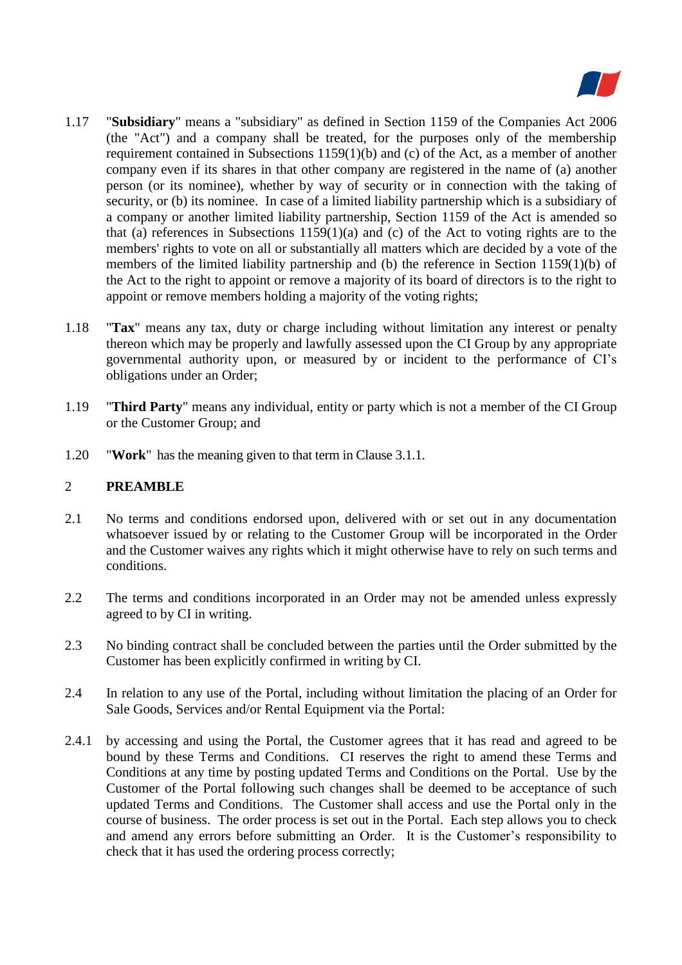

- 1.17 "**Subsidiary**" means a "subsidiary" as defined in Section 1159 of the Companies Act 2006 (the "Act") and a company shall be treated, for the purposes only of the membership requirement contained in Subsections 1159(1)(b) and (c) of the Act, as a member of another company even if its shares in that other company are registered in the name of (a) another person (or its nominee), whether by way of security or in connection with the taking of security, or (b) its nominee. In case of a limited liability partnership which is a subsidiary of a company or another limited liability partnership, Section 1159 of the Act is amended so that (a) references in Subsections 1159(1)(a) and (c) of the Act to voting rights are to the members' rights to vote on all or substantially all matters which are decided by a vote of the members of the limited liability partnership and (b) the reference in Section 1159(1)(b) of the Act to the right to appoint or remove a majority of its board of directors is to the right to appoint or remove members holding a majority of the voting rights;
- 1.18 "**Tax**" means any tax, duty or charge including without limitation any interest or penalty thereon which may be properly and lawfully assessed upon the CI Group by any appropriate governmental authority upon, or measured by or incident to the performance of CI's obligations under an Order;
- 1.19 "**Third Party**" means any individual, entity or party which is not a member of the CI Group or the Customer Group; and
- 1.20 "**Work**" has the meaning given to that term in Clause 3.1.1.

#### 2 **PREAMBLE**

- 2.1 No terms and conditions endorsed upon, delivered with or set out in any documentation whatsoever issued by or relating to the Customer Group will be incorporated in the Order and the Customer waives any rights which it might otherwise have to rely on such terms and conditions.
- 2.2 The terms and conditions incorporated in an Order may not be amended unless expressly agreed to by CI in writing.
- 2.3 No binding contract shall be concluded between the parties until the Order submitted by the Customer has been explicitly confirmed in writing by CI.
- 2.4 In relation to any use of the Portal, including without limitation the placing of an Order for Sale Goods, Services and/or Rental Equipment via the Portal:
- 2.4.1 by accessing and using the Portal, the Customer agrees that it has read and agreed to be bound by these Terms and Conditions. CI reserves the right to amend these Terms and Conditions at any time by posting updated Terms and Conditions on the Portal. Use by the Customer of the Portal following such changes shall be deemed to be acceptance of such updated Terms and Conditions. The Customer shall access and use the Portal only in the course of business. The order process is set out in the Portal. Each step allows you to check and amend any errors before submitting an Order. It is the Customer's responsibility to check that it has used the ordering process correctly;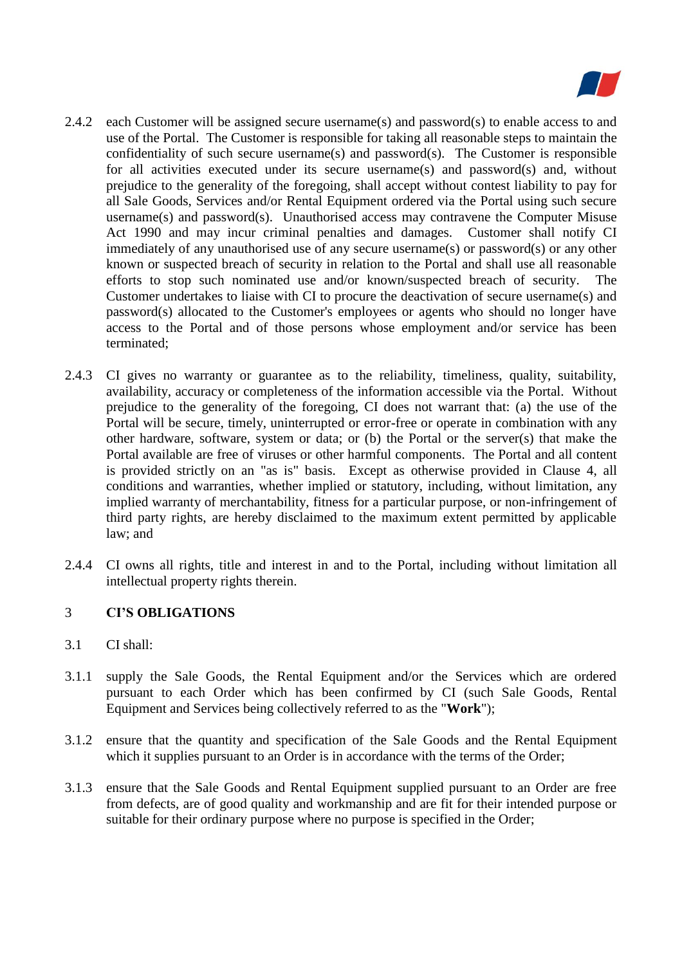

- 2.4.2 each Customer will be assigned secure username(s) and password(s) to enable access to and use of the Portal. The Customer is responsible for taking all reasonable steps to maintain the confidentiality of such secure username(s) and password(s). The Customer is responsible for all activities executed under its secure username(s) and password(s) and, without prejudice to the generality of the foregoing, shall accept without contest liability to pay for all Sale Goods, Services and/or Rental Equipment ordered via the Portal using such secure username(s) and password(s). Unauthorised access may contravene the Computer Misuse Act 1990 and may incur criminal penalties and damages. Customer shall notify CI immediately of any unauthorised use of any secure username(s) or password(s) or any other known or suspected breach of security in relation to the Portal and shall use all reasonable efforts to stop such nominated use and/or known/suspected breach of security. The Customer undertakes to liaise with CI to procure the deactivation of secure username(s) and password(s) allocated to the Customer's employees or agents who should no longer have access to the Portal and of those persons whose employment and/or service has been terminated;
- 2.4.3 CI gives no warranty or guarantee as to the reliability, timeliness, quality, suitability, availability, accuracy or completeness of the information accessible via the Portal. Without prejudice to the generality of the foregoing, CI does not warrant that: (a) the use of the Portal will be secure, timely, uninterrupted or error-free or operate in combination with any other hardware, software, system or data; or (b) the Portal or the server(s) that make the Portal available are free of viruses or other harmful components. The Portal and all content is provided strictly on an "as is" basis. Except as otherwise provided in Clause 4, all conditions and warranties, whether implied or statutory, including, without limitation, any implied warranty of merchantability, fitness for a particular purpose, or non-infringement of third party rights, are hereby disclaimed to the maximum extent permitted by applicable law; and
- 2.4.4 CI owns all rights, title and interest in and to the Portal, including without limitation all intellectual property rights therein.

## 3 **CI'S OBLIGATIONS**

- 3.1 CI shall:
- 3.1.1 supply the Sale Goods, the Rental Equipment and/or the Services which are ordered pursuant to each Order which has been confirmed by CI (such Sale Goods, Rental Equipment and Services being collectively referred to as the "**Work**");
- 3.1.2 ensure that the quantity and specification of the Sale Goods and the Rental Equipment which it supplies pursuant to an Order is in accordance with the terms of the Order;
- 3.1.3 ensure that the Sale Goods and Rental Equipment supplied pursuant to an Order are free from defects, are of good quality and workmanship and are fit for their intended purpose or suitable for their ordinary purpose where no purpose is specified in the Order;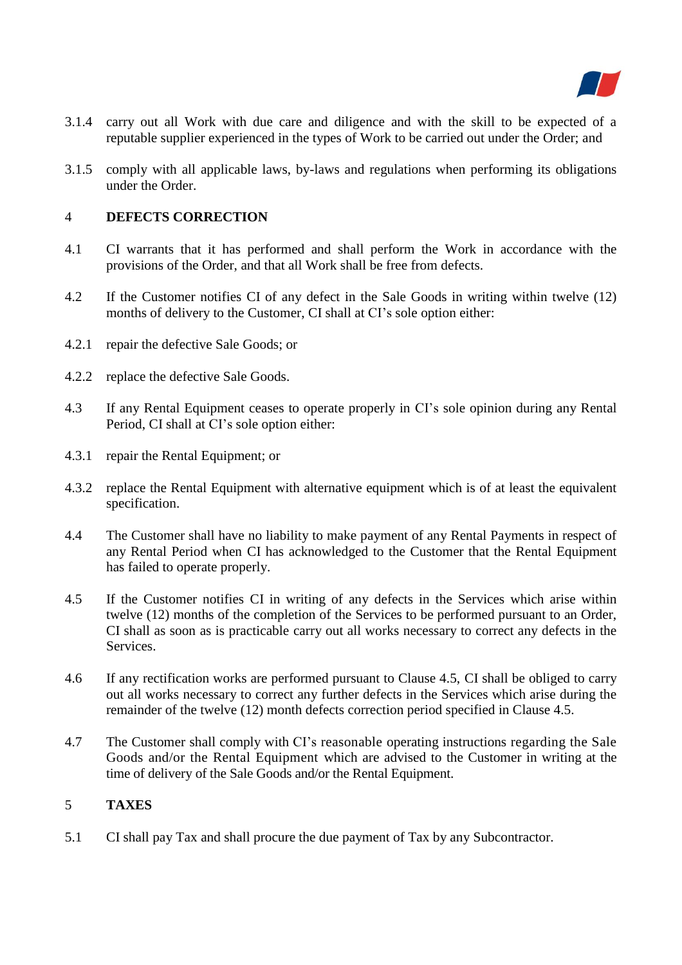

- 3.1.4 carry out all Work with due care and diligence and with the skill to be expected of a reputable supplier experienced in the types of Work to be carried out under the Order; and
- 3.1.5 comply with all applicable laws, by-laws and regulations when performing its obligations under the Order.

### 4 **DEFECTS CORRECTION**

- 4.1 CI warrants that it has performed and shall perform the Work in accordance with the provisions of the Order, and that all Work shall be free from defects.
- 4.2 If the Customer notifies CI of any defect in the Sale Goods in writing within twelve (12) months of delivery to the Customer, CI shall at CI's sole option either:
- 4.2.1 repair the defective Sale Goods; or
- 4.2.2 replace the defective Sale Goods.
- 4.3 If any Rental Equipment ceases to operate properly in CI's sole opinion during any Rental Period, CI shall at CI's sole option either:
- 4.3.1 repair the Rental Equipment; or
- 4.3.2 replace the Rental Equipment with alternative equipment which is of at least the equivalent specification.
- 4.4 The Customer shall have no liability to make payment of any Rental Payments in respect of any Rental Period when CI has acknowledged to the Customer that the Rental Equipment has failed to operate properly.
- 4.5 If the Customer notifies CI in writing of any defects in the Services which arise within twelve (12) months of the completion of the Services to be performed pursuant to an Order, CI shall as soon as is practicable carry out all works necessary to correct any defects in the Services.
- 4.6 If any rectification works are performed pursuant to Clause 4.5, CI shall be obliged to carry out all works necessary to correct any further defects in the Services which arise during the remainder of the twelve (12) month defects correction period specified in Clause 4.5.
- 4.7 The Customer shall comply with CI's reasonable operating instructions regarding the Sale Goods and/or the Rental Equipment which are advised to the Customer in writing at the time of delivery of the Sale Goods and/or the Rental Equipment.

#### 5 **TAXES**

5.1 CI shall pay Tax and shall procure the due payment of Tax by any Subcontractor.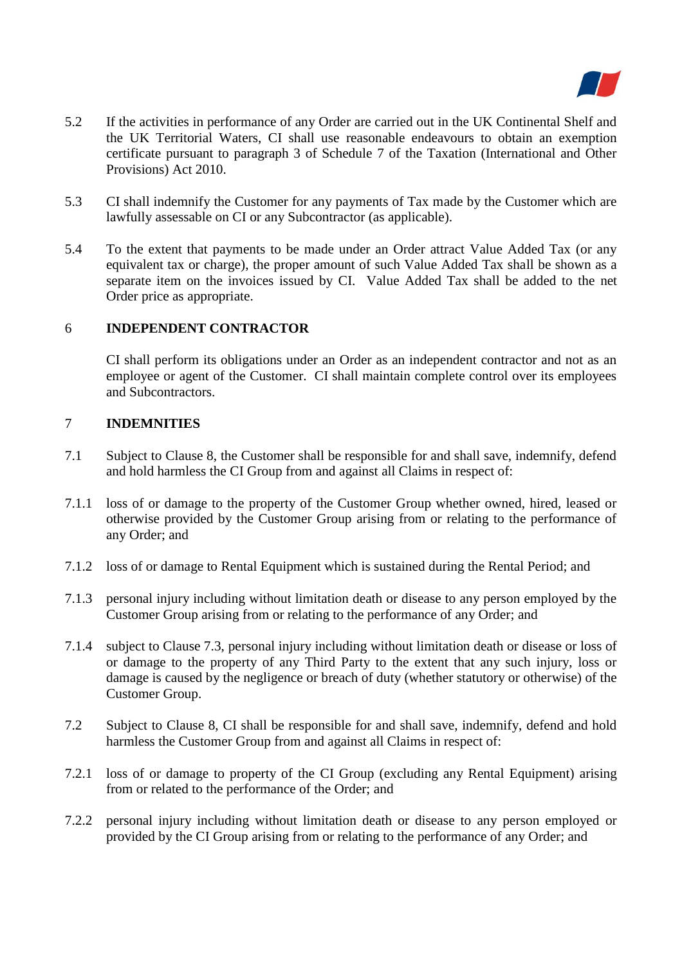

- 5.2 If the activities in performance of any Order are carried out in the UK Continental Shelf and the UK Territorial Waters, CI shall use reasonable endeavours to obtain an exemption certificate pursuant to paragraph 3 of Schedule 7 of the Taxation (International and Other Provisions) Act 2010.
- 5.3 CI shall indemnify the Customer for any payments of Tax made by the Customer which are lawfully assessable on CI or any Subcontractor (as applicable).
- 5.4 To the extent that payments to be made under an Order attract Value Added Tax (or any equivalent tax or charge), the proper amount of such Value Added Tax shall be shown as a separate item on the invoices issued by CI. Value Added Tax shall be added to the net Order price as appropriate.

#### 6 **INDEPENDENT CONTRACTOR**

CI shall perform its obligations under an Order as an independent contractor and not as an employee or agent of the Customer. CI shall maintain complete control over its employees and Subcontractors.

## 7 **INDEMNITIES**

- 7.1 Subject to Clause 8, the Customer shall be responsible for and shall save, indemnify, defend and hold harmless the CI Group from and against all Claims in respect of:
- 7.1.1 loss of or damage to the property of the Customer Group whether owned, hired, leased or otherwise provided by the Customer Group arising from or relating to the performance of any Order; and
- 7.1.2 loss of or damage to Rental Equipment which is sustained during the Rental Period; and
- 7.1.3 personal injury including without limitation death or disease to any person employed by the Customer Group arising from or relating to the performance of any Order; and
- 7.1.4 subject to Clause 7.3, personal injury including without limitation death or disease or loss of or damage to the property of any Third Party to the extent that any such injury, loss or damage is caused by the negligence or breach of duty (whether statutory or otherwise) of the Customer Group.
- 7.2 Subject to Clause 8, CI shall be responsible for and shall save, indemnify, defend and hold harmless the Customer Group from and against all Claims in respect of:
- 7.2.1 loss of or damage to property of the CI Group (excluding any Rental Equipment) arising from or related to the performance of the Order; and
- 7.2.2 personal injury including without limitation death or disease to any person employed or provided by the CI Group arising from or relating to the performance of any Order; and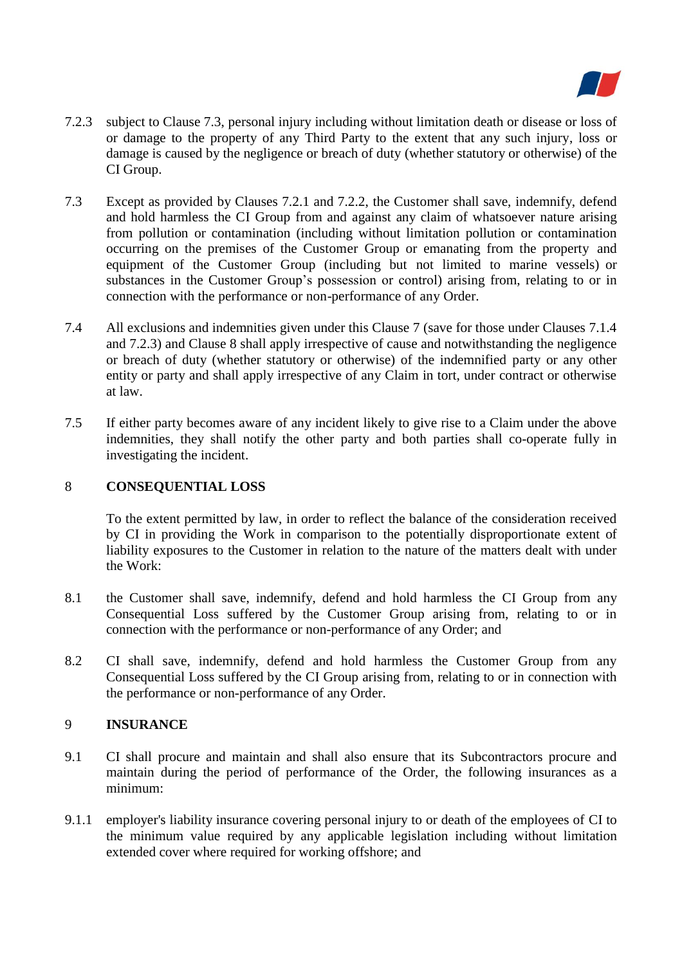

- 7.2.3 subject to Clause 7.3, personal injury including without limitation death or disease or loss of or damage to the property of any Third Party to the extent that any such injury, loss or damage is caused by the negligence or breach of duty (whether statutory or otherwise) of the CI Group.
- 7.3 Except as provided by Clauses 7.2.1 and 7.2.2, the Customer shall save, indemnify, defend and hold harmless the CI Group from and against any claim of whatsoever nature arising from pollution or contamination (including without limitation pollution or contamination occurring on the premises of the Customer Group or emanating from the property and equipment of the Customer Group (including but not limited to marine vessels) or substances in the Customer Group's possession or control) arising from, relating to or in connection with the performance or non-performance of any Order.
- 7.4 All exclusions and indemnities given under this Clause 7 (save for those under Clauses 7.1.4 and 7.2.3) and Clause 8 shall apply irrespective of cause and notwithstanding the negligence or breach of duty (whether statutory or otherwise) of the indemnified party or any other entity or party and shall apply irrespective of any Claim in tort, under contract or otherwise at law.
- 7.5 If either party becomes aware of any incident likely to give rise to a Claim under the above indemnities, they shall notify the other party and both parties shall co-operate fully in investigating the incident.

#### 8 **CONSEQUENTIAL LOSS**

To the extent permitted by law, in order to reflect the balance of the consideration received by CI in providing the Work in comparison to the potentially disproportionate extent of liability exposures to the Customer in relation to the nature of the matters dealt with under the Work:

- 8.1 the Customer shall save, indemnify, defend and hold harmless the CI Group from any Consequential Loss suffered by the Customer Group arising from, relating to or in connection with the performance or non-performance of any Order; and
- 8.2 CI shall save, indemnify, defend and hold harmless the Customer Group from any Consequential Loss suffered by the CI Group arising from, relating to or in connection with the performance or non-performance of any Order.

#### 9 **INSURANCE**

- 9.1 CI shall procure and maintain and shall also ensure that its Subcontractors procure and maintain during the period of performance of the Order, the following insurances as a minimum:
- 9.1.1 employer's liability insurance covering personal injury to or death of the employees of CI to the minimum value required by any applicable legislation including without limitation extended cover where required for working offshore; and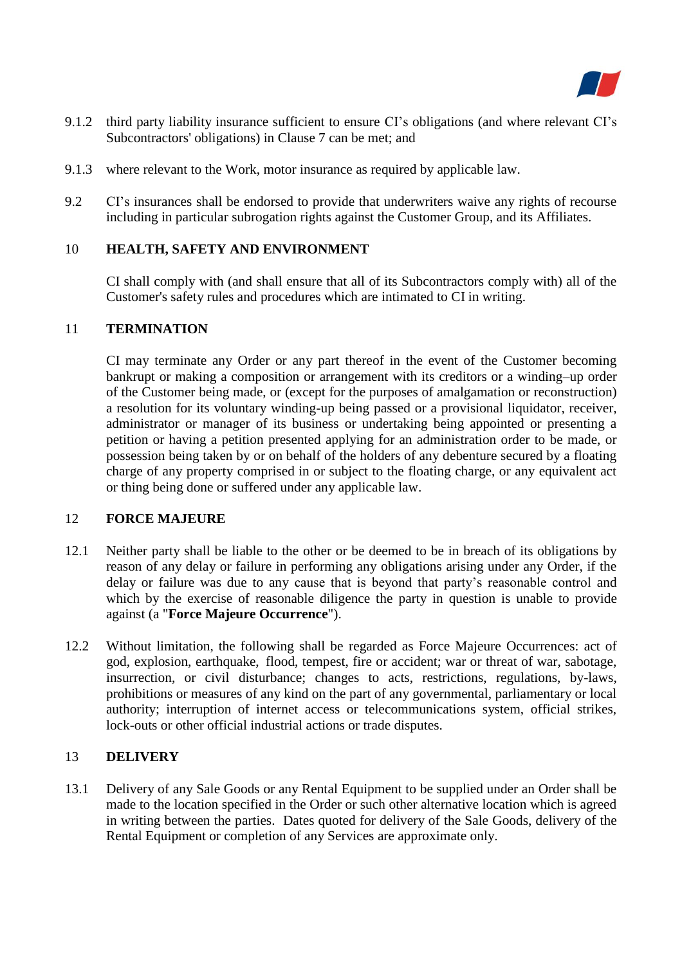

- 9.1.2 third party liability insurance sufficient to ensure CI's obligations (and where relevant CI's Subcontractors' obligations) in Clause 7 can be met; and
- 9.1.3 where relevant to the Work, motor insurance as required by applicable law.
- 9.2 CI's insurances shall be endorsed to provide that underwriters waive any rights of recourse including in particular subrogation rights against the Customer Group, and its Affiliates.

### 10 **HEALTH, SAFETY AND ENVIRONMENT**

CI shall comply with (and shall ensure that all of its Subcontractors comply with) all of the Customer's safety rules and procedures which are intimated to CI in writing.

#### 11 **TERMINATION**

CI may terminate any Order or any part thereof in the event of the Customer becoming bankrupt or making a composition or arrangement with its creditors or a winding–up order of the Customer being made, or (except for the purposes of amalgamation or reconstruction) a resolution for its voluntary winding-up being passed or a provisional liquidator, receiver, administrator or manager of its business or undertaking being appointed or presenting a petition or having a petition presented applying for an administration order to be made, or possession being taken by or on behalf of the holders of any debenture secured by a floating charge of any property comprised in or subject to the floating charge, or any equivalent act or thing being done or suffered under any applicable law.

#### 12 **FORCE MAJEURE**

- 12.1 Neither party shall be liable to the other or be deemed to be in breach of its obligations by reason of any delay or failure in performing any obligations arising under any Order, if the delay or failure was due to any cause that is beyond that party's reasonable control and which by the exercise of reasonable diligence the party in question is unable to provide against (a "**Force Majeure Occurrence**").
- 12.2 Without limitation, the following shall be regarded as Force Majeure Occurrences: act of god, explosion, earthquake, flood, tempest, fire or accident; war or threat of war, sabotage, insurrection, or civil disturbance; changes to acts, restrictions, regulations, by-laws, prohibitions or measures of any kind on the part of any governmental, parliamentary or local authority; interruption of internet access or telecommunications system, official strikes, lock-outs or other official industrial actions or trade disputes.

#### 13 **DELIVERY**

13.1 Delivery of any Sale Goods or any Rental Equipment to be supplied under an Order shall be made to the location specified in the Order or such other alternative location which is agreed in writing between the parties. Dates quoted for delivery of the Sale Goods, delivery of the Rental Equipment or completion of any Services are approximate only.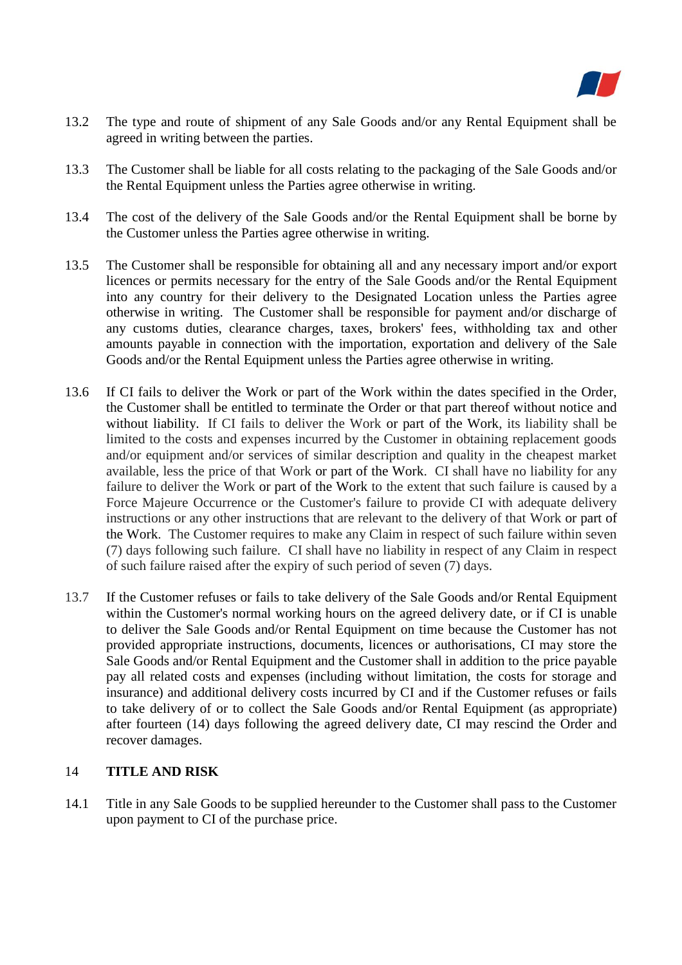

- 13.2 The type and route of shipment of any Sale Goods and/or any Rental Equipment shall be agreed in writing between the parties.
- 13.3 The Customer shall be liable for all costs relating to the packaging of the Sale Goods and/or the Rental Equipment unless the Parties agree otherwise in writing.
- 13.4 The cost of the delivery of the Sale Goods and/or the Rental Equipment shall be borne by the Customer unless the Parties agree otherwise in writing.
- 13.5 The Customer shall be responsible for obtaining all and any necessary import and/or export licences or permits necessary for the entry of the Sale Goods and/or the Rental Equipment into any country for their delivery to the Designated Location unless the Parties agree otherwise in writing. The Customer shall be responsible for payment and/or discharge of any customs duties, clearance charges, taxes, brokers' fees, withholding tax and other amounts payable in connection with the importation, exportation and delivery of the Sale Goods and/or the Rental Equipment unless the Parties agree otherwise in writing.
- 13.6 If CI fails to deliver the Work or part of the Work within the dates specified in the Order, the Customer shall be entitled to terminate the Order or that part thereof without notice and without liability. If CI fails to deliver the Work or part of the Work, its liability shall be limited to the costs and expenses incurred by the Customer in obtaining replacement goods and/or equipment and/or services of similar description and quality in the cheapest market available, less the price of that Work or part of the Work. CI shall have no liability for any failure to deliver the Work or part of the Work to the extent that such failure is caused by a Force Majeure Occurrence or the Customer's failure to provide CI with adequate delivery instructions or any other instructions that are relevant to the delivery of that Work or part of the Work. The Customer requires to make any Claim in respect of such failure within seven (7) days following such failure. CI shall have no liability in respect of any Claim in respect of such failure raised after the expiry of such period of seven (7) days.
- 13.7 If the Customer refuses or fails to take delivery of the Sale Goods and/or Rental Equipment within the Customer's normal working hours on the agreed delivery date, or if CI is unable to deliver the Sale Goods and/or Rental Equipment on time because the Customer has not provided appropriate instructions, documents, licences or authorisations, CI may store the Sale Goods and/or Rental Equipment and the Customer shall in addition to the price payable pay all related costs and expenses (including without limitation, the costs for storage and insurance) and additional delivery costs incurred by CI and if the Customer refuses or fails to take delivery of or to collect the Sale Goods and/or Rental Equipment (as appropriate) after fourteen (14) days following the agreed delivery date, CI may rescind the Order and recover damages.

### 14 **TITLE AND RISK**

14.1 Title in any Sale Goods to be supplied hereunder to the Customer shall pass to the Customer upon payment to CI of the purchase price.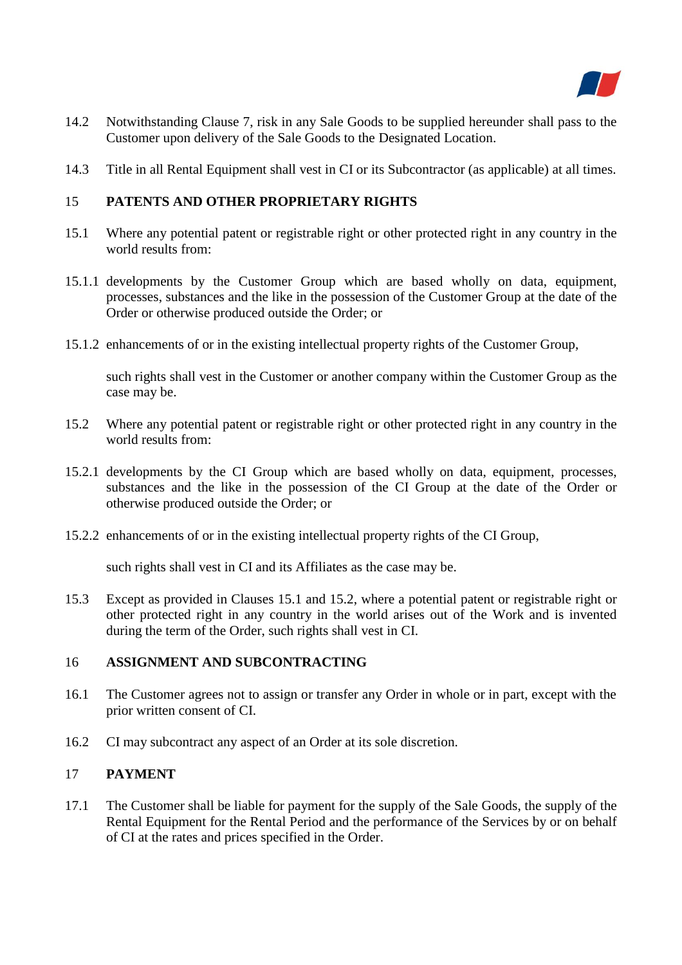

- 14.2 Notwithstanding Clause 7, risk in any Sale Goods to be supplied hereunder shall pass to the Customer upon delivery of the Sale Goods to the Designated Location.
- 14.3 Title in all Rental Equipment shall vest in CI or its Subcontractor (as applicable) at all times.

## 15 **PATENTS AND OTHER PROPRIETARY RIGHTS**

- 15.1 Where any potential patent or registrable right or other protected right in any country in the world results from:
- 15.1.1 developments by the Customer Group which are based wholly on data, equipment, processes, substances and the like in the possession of the Customer Group at the date of the Order or otherwise produced outside the Order; or
- 15.1.2 enhancements of or in the existing intellectual property rights of the Customer Group,

such rights shall vest in the Customer or another company within the Customer Group as the case may be.

- 15.2 Where any potential patent or registrable right or other protected right in any country in the world results from:
- 15.2.1 developments by the CI Group which are based wholly on data, equipment, processes, substances and the like in the possession of the CI Group at the date of the Order or otherwise produced outside the Order; or
- 15.2.2 enhancements of or in the existing intellectual property rights of the CI Group,

such rights shall vest in CI and its Affiliates as the case may be.

15.3 Except as provided in Clauses 15.1 and 15.2, where a potential patent or registrable right or other protected right in any country in the world arises out of the Work and is invented during the term of the Order, such rights shall vest in CI.

## 16 **ASSIGNMENT AND SUBCONTRACTING**

- 16.1 The Customer agrees not to assign or transfer any Order in whole or in part, except with the prior written consent of CI.
- 16.2 CI may subcontract any aspect of an Order at its sole discretion.

## 17 **PAYMENT**

17.1 The Customer shall be liable for payment for the supply of the Sale Goods, the supply of the Rental Equipment for the Rental Period and the performance of the Services by or on behalf of CI at the rates and prices specified in the Order.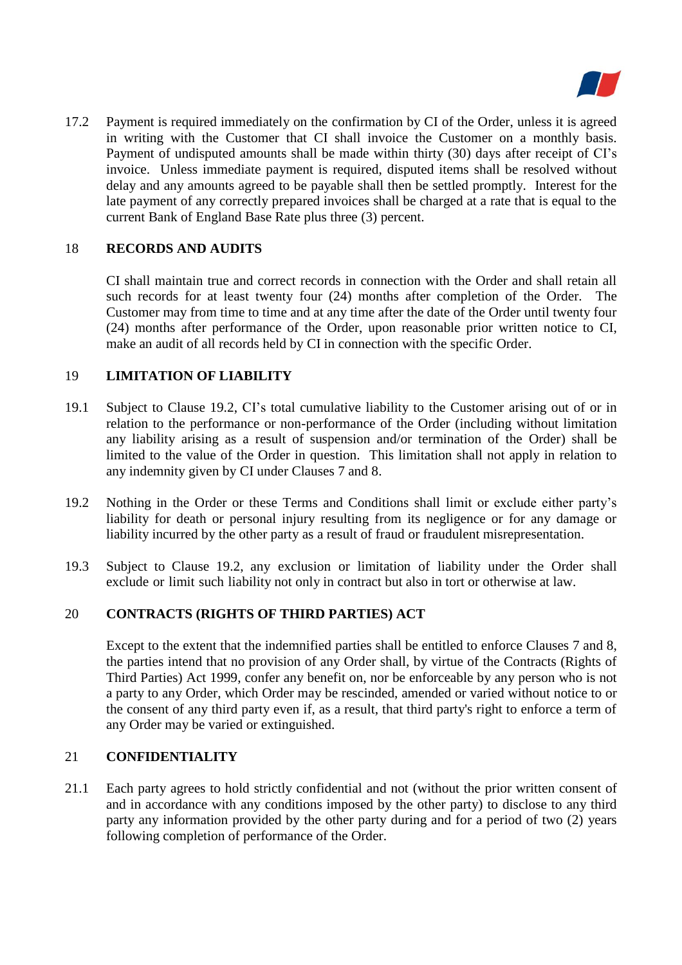

17.2 Payment is required immediately on the confirmation by CI of the Order, unless it is agreed in writing with the Customer that CI shall invoice the Customer on a monthly basis. Payment of undisputed amounts shall be made within thirty (30) days after receipt of CI's invoice. Unless immediate payment is required, disputed items shall be resolved without delay and any amounts agreed to be payable shall then be settled promptly. Interest for the late payment of any correctly prepared invoices shall be charged at a rate that is equal to the current Bank of England Base Rate plus three (3) percent.

## 18 **RECORDS AND AUDITS**

CI shall maintain true and correct records in connection with the Order and shall retain all such records for at least twenty four (24) months after completion of the Order. The Customer may from time to time and at any time after the date of the Order until twenty four (24) months after performance of the Order, upon reasonable prior written notice to CI, make an audit of all records held by CI in connection with the specific Order.

## 19 **LIMITATION OF LIABILITY**

- 19.1 Subject to Clause 19.2, CI's total cumulative liability to the Customer arising out of or in relation to the performance or non-performance of the Order (including without limitation any liability arising as a result of suspension and/or termination of the Order) shall be limited to the value of the Order in question. This limitation shall not apply in relation to any indemnity given by CI under Clauses 7 and 8.
- 19.2 Nothing in the Order or these Terms and Conditions shall limit or exclude either party's liability for death or personal injury resulting from its negligence or for any damage or liability incurred by the other party as a result of fraud or fraudulent misrepresentation.
- 19.3 Subject to Clause 19.2, any exclusion or limitation of liability under the Order shall exclude or limit such liability not only in contract but also in tort or otherwise at law.

## 20 **CONTRACTS (RIGHTS OF THIRD PARTIES) ACT**

Except to the extent that the indemnified parties shall be entitled to enforce Clauses 7 and 8, the parties intend that no provision of any Order shall, by virtue of the Contracts (Rights of Third Parties) Act 1999, confer any benefit on, nor be enforceable by any person who is not a party to any Order, which Order may be rescinded, amended or varied without notice to or the consent of any third party even if, as a result, that third party's right to enforce a term of any Order may be varied or extinguished.

## 21 **CONFIDENTIALITY**

21.1 Each party agrees to hold strictly confidential and not (without the prior written consent of and in accordance with any conditions imposed by the other party) to disclose to any third party any information provided by the other party during and for a period of two (2) years following completion of performance of the Order.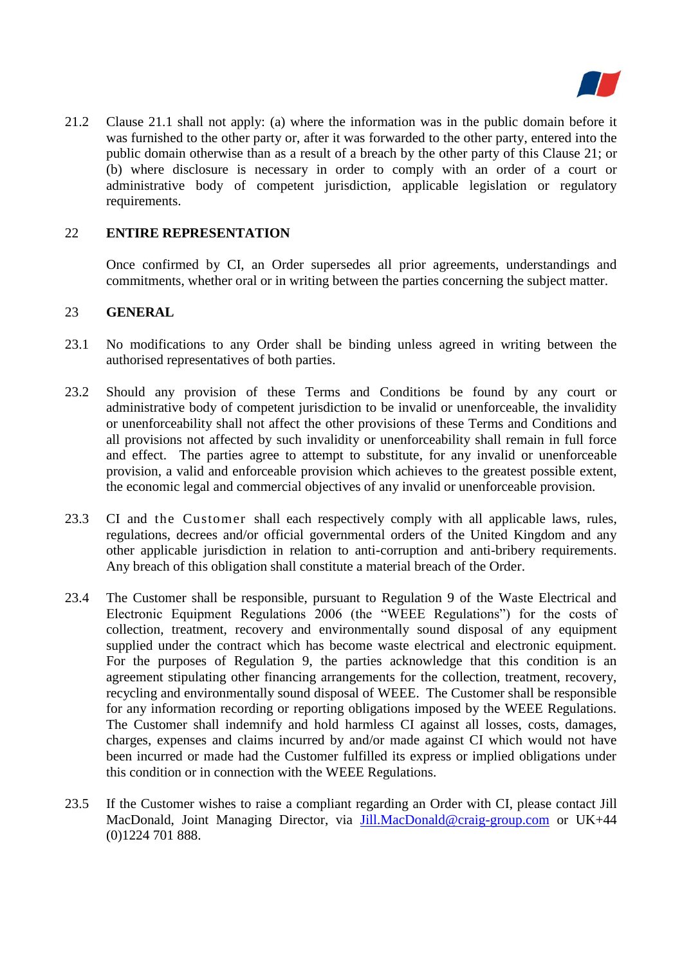

21.2 Clause 21.1 shall not apply: (a) where the information was in the public domain before it was furnished to the other party or, after it was forwarded to the other party, entered into the public domain otherwise than as a result of a breach by the other party of this Clause 21; or (b) where disclosure is necessary in order to comply with an order of a court or administrative body of competent jurisdiction, applicable legislation or regulatory requirements.

## 22 **ENTIRE REPRESENTATION**

Once confirmed by CI, an Order supersedes all prior agreements, understandings and commitments, whether oral or in writing between the parties concerning the subject matter.

#### 23 **GENERAL**

- 23.1 No modifications to any Order shall be binding unless agreed in writing between the authorised representatives of both parties.
- 23.2 Should any provision of these Terms and Conditions be found by any court or administrative body of competent jurisdiction to be invalid or unenforceable, the invalidity or unenforceability shall not affect the other provisions of these Terms and Conditions and all provisions not affected by such invalidity or unenforceability shall remain in full force and effect. The parties agree to attempt to substitute, for any invalid or unenforceable provision, a valid and enforceable provision which achieves to the greatest possible extent, the economic legal and commercial objectives of any invalid or unenforceable provision.
- 23.3 CI and the Customer shall each respectively comply with all applicable laws, rules, regulations, decrees and/or official governmental orders of the United Kingdom and any other applicable jurisdiction in relation to anti-corruption and anti-bribery requirements. Any breach of this obligation shall constitute a material breach of the Order.
- 23.4 The Customer shall be responsible, pursuant to Regulation 9 of the Waste Electrical and Electronic Equipment Regulations 2006 (the "WEEE Regulations") for the costs of collection, treatment, recovery and environmentally sound disposal of any equipment supplied under the contract which has become waste electrical and electronic equipment. For the purposes of Regulation 9, the parties acknowledge that this condition is an agreement stipulating other financing arrangements for the collection, treatment, recovery, recycling and environmentally sound disposal of WEEE. The Customer shall be responsible for any information recording or reporting obligations imposed by the WEEE Regulations. The Customer shall indemnify and hold harmless CI against all losses, costs, damages, charges, expenses and claims incurred by and/or made against CI which would not have been incurred or made had the Customer fulfilled its express or implied obligations under this condition or in connection with the WEEE Regulations.
- 23.5 If the Customer wishes to raise a compliant regarding an Order with CI, please contact Jill MacDonald, Joint Managing Director, via [Jill.MacDonald@craig-group.com](mailto:Jill.MacDonald@craig-group.com) or UK+44 (0)1224 701 888.